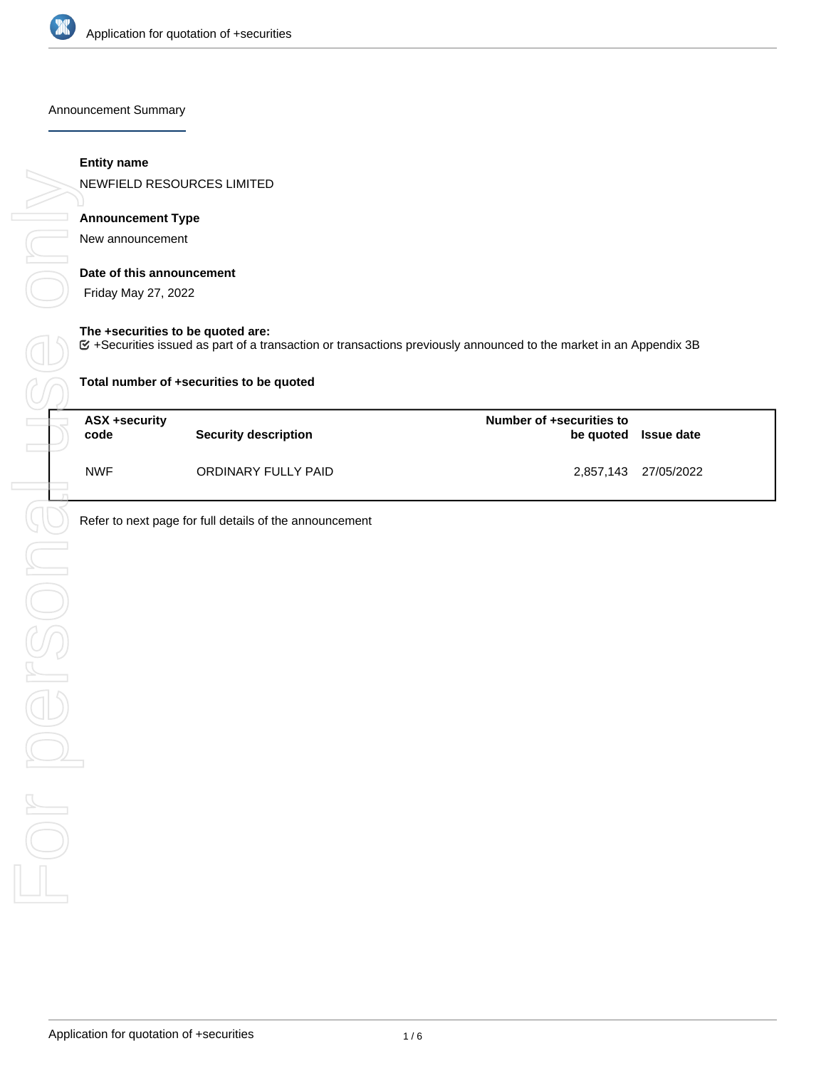

Announcement Summary

### **Entity name**

NEWFIELD RESOURCES LIMITED

# **Announcement Type**

New announcement

### **Date of this announcement**

Friday May 27, 2022

#### **The +securities to be quoted are:**

+Securities issued as part of a transaction or transactions previously announced to the market in an Appendix 3B

| Total number of +securities to be quoted |                             |                                       |                      |  |  |
|------------------------------------------|-----------------------------|---------------------------------------|----------------------|--|--|
| ASX +security<br>code                    | <b>Security description</b> | Number of +securities to<br>be quoted | <b>Issue date</b>    |  |  |
| <b>NWF</b>                               | ORDINARY FULLY PAID         |                                       | 2,857,143 27/05/2022 |  |  |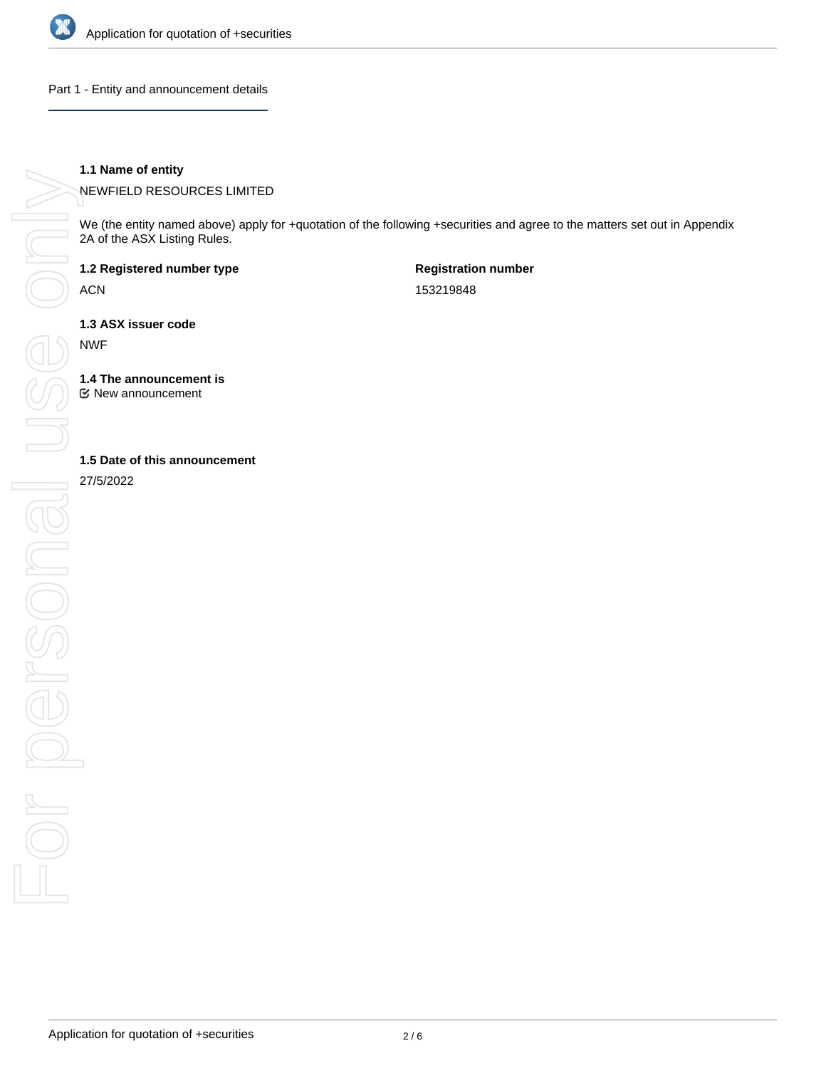

Part 1 - Entity and announcement details

NEWFIELD RESOURCES LIMITED

We (the entity named above) apply for +quotation of the following +securities and agree to the matters set out in Appendix 2A of the ASX Listing Rules.

**1.2 Registered number type**

ACN

**Registration number** 153219848

**1.3 ASX issuer code**

NWF

**1.4 The announcement is**

New announcement

27/5/2022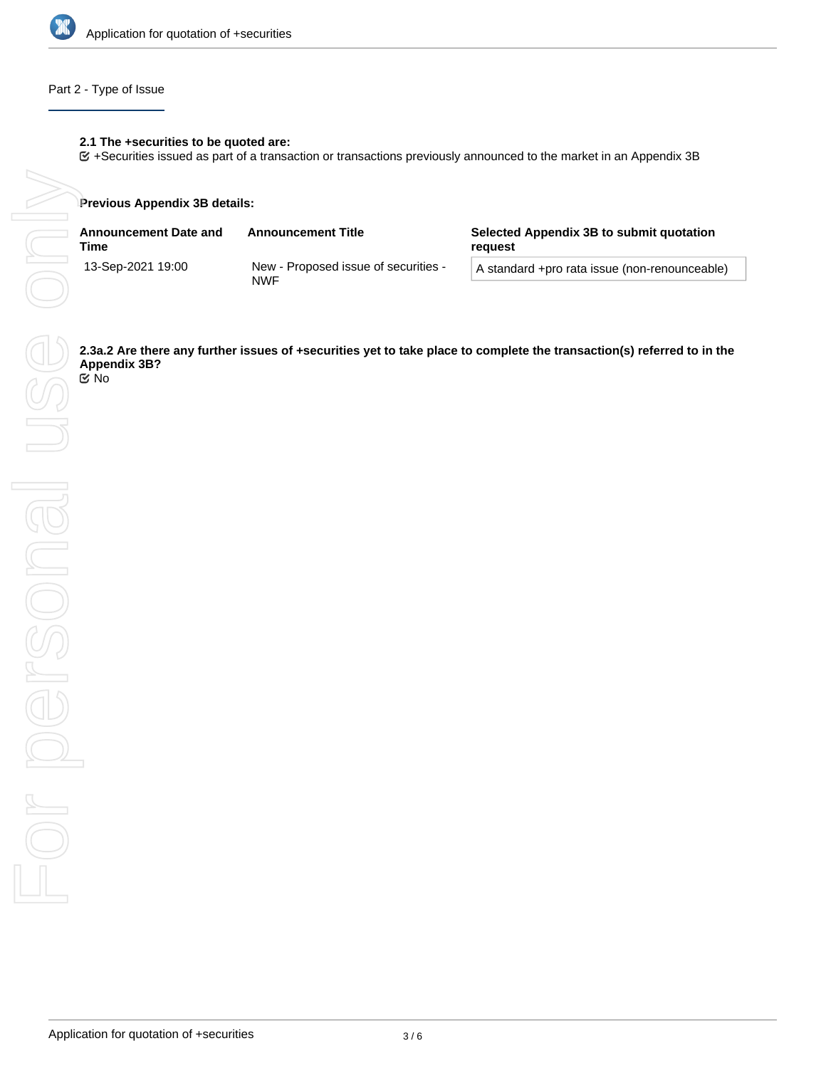

# Part 2 - Type of Issue

## **2.1 The +securities to be quoted are:**

+Securities issued as part of a transaction or transactions previously announced to the market in an Appendix 3B

#### **Previous Appendix 3B details:**

| <b>Announcement Date and</b><br>Time | <b>Announcement Title</b>                   | Selected Appendix 3B to submit quotation<br>reguest |  |
|--------------------------------------|---------------------------------------------|-----------------------------------------------------|--|
| 13-Sep-2021 19:00                    | New - Proposed issue of securities -<br>NWF | A standard +pro rata issue (non-renounceable)       |  |

**Appendix 3B?** No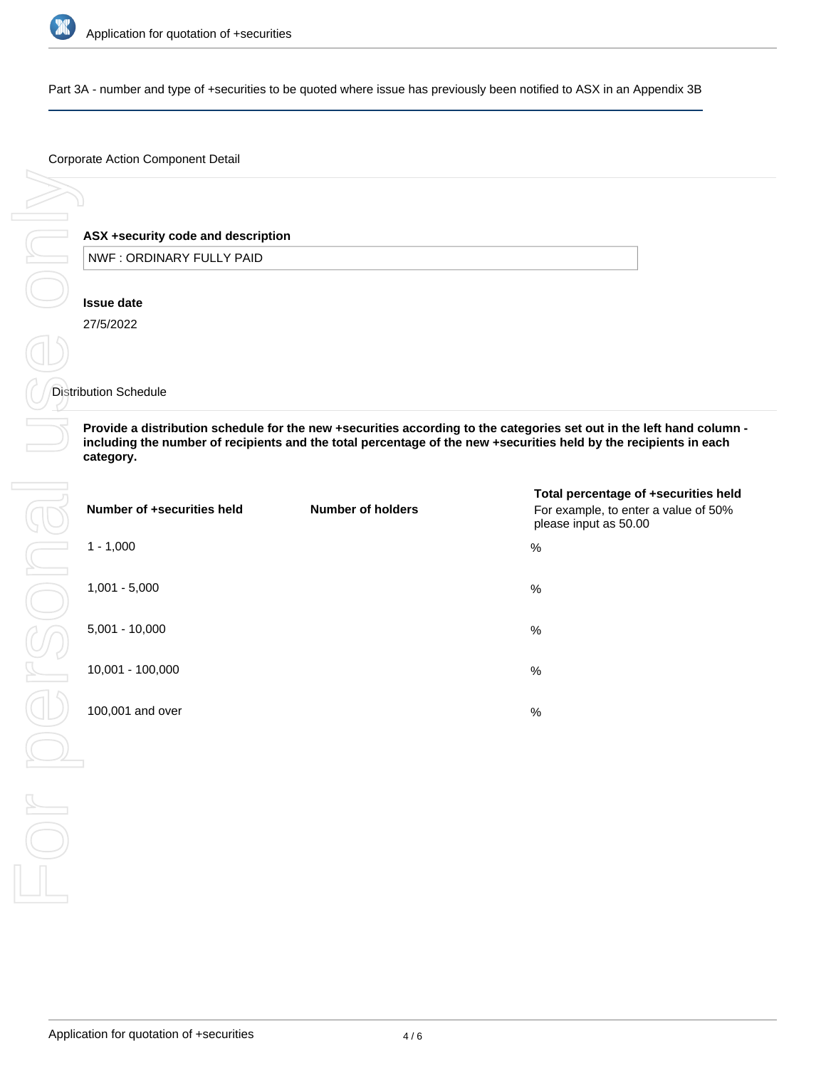

Part 3A - number and type of +securities to be quoted where issue has previously been notified to ASX in an Appendix 3B

### Corporate Action Component Detail

# **ASX +security code and description**

NWF : ORDINARY FULLY PAID

### **Issue date**

27/5/2022

## Distribution Schedule

**Provide a distribution schedule for the new +securities according to the categories set out in the left hand column including the number of recipients and the total percentage of the new +securities held by the recipients in each category.**

| Number of +securities held | Number of holders | Total percentage of +securities held<br>For example, to enter a value of 50%<br>please input as 50.00 |
|----------------------------|-------------------|-------------------------------------------------------------------------------------------------------|
| $1 - 1,000$                |                   | $\frac{0}{0}$                                                                                         |
| $1,001 - 5,000$            |                   | %                                                                                                     |
| $5,001 - 10,000$           |                   | %                                                                                                     |
| 10,001 - 100,000           |                   | %                                                                                                     |
| 100,001 and over           |                   | %                                                                                                     |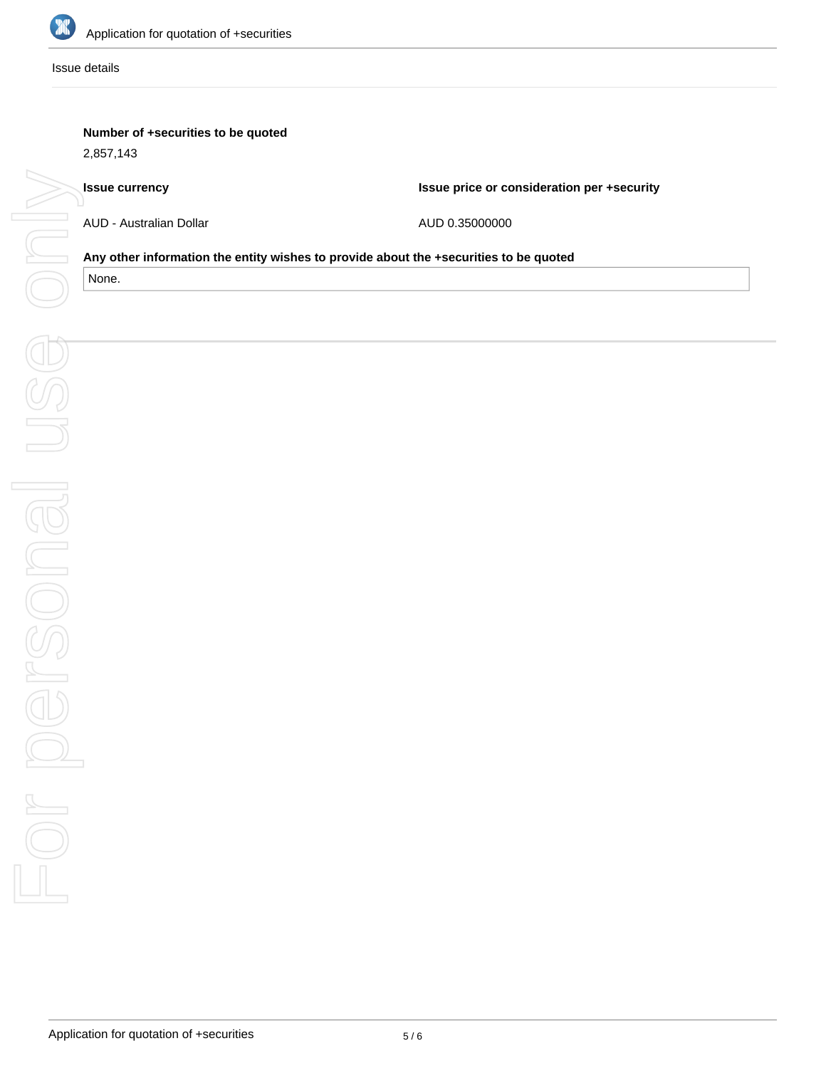

#### Issue details

# **Number of +securities to be quoted**

2,857,143

### **Issue currency**

**Issue price or consideration per +security**

AUD - Australian Dollar

AUD 0.35000000

# **Any other information the entity wishes to provide about the +securities to be quoted**

None.